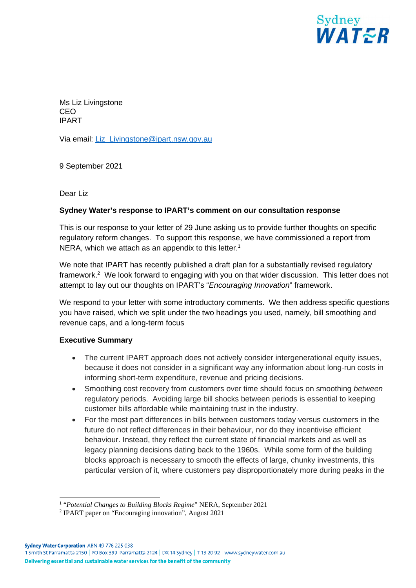

Ms Liz Livingstone CEO IPART

Via email: Liz\_Livingstone@ipart.nsw.gov.au

9 September 2021

Dear Liz

### **Sydney Water's response to IPART's comment on our consultation response**

This is our response to your letter of 29 June asking us to provide further thoughts on specific regulatory reform changes. To support this response, we have commissioned a report from NERA, which we attach as an appendix to this letter.<sup>1</sup>

We note that IPART has recently published a draft plan for a substantially revised regulatory framework.<sup>2</sup> We look forward to engaging with you on that wider discussion. This letter does not attempt to lay out our thoughts on IPART's "*Encouraging Innovation*" framework.

We respond to your letter with some introductory comments. We then address specific questions you have raised, which we split under the two headings you used, namely, bill smoothing and revenue caps, and a long-term focus

### **Executive Summary**

- The current IPART approach does not actively consider intergenerational equity issues, because it does not consider in a significant way any information about long-run costs in informing short-term expenditure, revenue and pricing decisions.
- Smoothing cost recovery from customers over time should focus on smoothing *between*  regulatory periods. Avoiding large bill shocks between periods is essential to keeping customer bills affordable while maintaining trust in the industry.
- For the most part differences in bills between customers today versus customers in the future do not reflect differences in their behaviour, nor do they incentivise efficient behaviour. Instead, they reflect the current state of financial markets and as well as legacy planning decisions dating back to the 1960s. While some form of the building blocks approach is necessary to smooth the effects of large, chunky investments, this particular version of it, where customers pay disproportionately more during peaks in the

<sup>&</sup>lt;sup>1</sup> "Potential Changes to Building Blocks Regime" NERA, September 2021

<sup>&</sup>lt;sup>2</sup> IPART paper on "Encouraging innovation", August 2021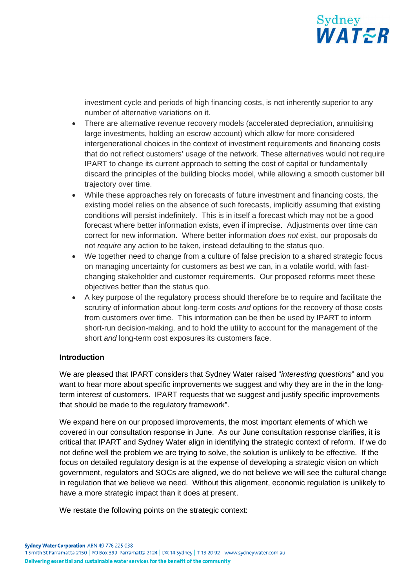

investment cycle and periods of high financing costs, is not inherently superior to any number of alternative variations on it.

- There are alternative revenue recovery models (accelerated depreciation, annuitising large investments, holding an escrow account) which allow for more considered intergenerational choices in the context of investment requirements and financing costs that do not reflect customers' usage of the network. These alternatives would not require IPART to change its current approach to setting the cost of capital or fundamentally discard the principles of the building blocks model, while allowing a smooth customer bill trajectory over time.
- While these approaches rely on forecasts of future investment and financing costs, the existing model relies on the absence of such forecasts, implicitly assuming that existing conditions will persist indefinitely. This is in itself a forecast which may not be a good forecast where better information exists, even if imprecise. Adjustments over time can correct for new information. Where better information *does not* exist, our proposals do not *require* any action to be taken, instead defaulting to the status quo.
- We together need to change from a culture of false precision to a shared strategic focus on managing uncertainty for customers as best we can, in a volatile world, with fastchanging stakeholder and customer requirements. Our proposed reforms meet these objectives better than the status quo.
- A key purpose of the regulatory process should therefore be to require and facilitate the scrutiny of information about long-term costs *and* options for the recovery of those costs from customers over time. This information can be then be used by IPART to inform short-run decision-making, and to hold the utility to account for the management of the short *and* long-term cost exposures its customers face.

### **Introduction**

We are pleased that IPART considers that Sydney Water raised "*interesting questions*" and you want to hear more about specific improvements we suggest and why they are in the in the longterm interest of customers. IPART requests that we suggest and justify specific improvements that should be made to the regulatory framework".

We expand here on our proposed improvements, the most important elements of which we covered in our consultation response in June. As our June consultation response clarifies, it is critical that IPART and Sydney Water align in identifying the strategic context of reform. If we do not define well the problem we are trying to solve, the solution is unlikely to be effective. If the focus on detailed regulatory design is at the expense of developing a strategic vision on which government, regulators and SOCs are aligned, we do not believe we will see the cultural change in regulation that we believe we need. Without this alignment, economic regulation is unlikely to have a more strategic impact than it does at present.

We restate the following points on the strategic context: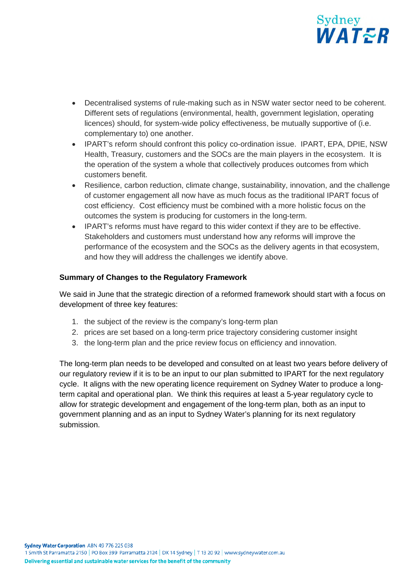

- Decentralised systems of rule-making such as in NSW water sector need to be coherent. Different sets of regulations (environmental, health, government legislation, operating licences) should, for system-wide policy effectiveness, be mutually supportive of (i.e. complementary to) one another.
- IPART's reform should confront this policy co-ordination issue. IPART, EPA, DPIE, NSW Health, Treasury, customers and the SOCs are the main players in the ecosystem. It is the operation of the system a whole that collectively produces outcomes from which customers benefit.
- Resilience, carbon reduction, climate change, sustainability, innovation, and the challenge of customer engagement all now have as much focus as the traditional IPART focus of cost efficiency. Cost efficiency must be combined with a more holistic focus on the outcomes the system is producing for customers in the long-term.
- IPART's reforms must have regard to this wider context if they are to be effective. Stakeholders and customers must understand how any reforms will improve the performance of the ecosystem and the SOCs as the delivery agents in that ecosystem, and how they will address the challenges we identify above.

## **Summary of Changes to the Regulatory Framework**

We said in June that the strategic direction of a reformed framework should start with a focus on development of three key features:

- 1. the subject of the review is the company's long-term plan
- 2. prices are set based on a long-term price trajectory considering customer insight
- 3. the long-term plan and the price review focus on efficiency and innovation.

The long-term plan needs to be developed and consulted on at least two years before delivery of our regulatory review if it is to be an input to our plan submitted to IPART for the next regulatory cycle. It aligns with the new operating licence requirement on Sydney Water to produce a longterm capital and operational plan. We think this requires at least a 5-year regulatory cycle to allow for strategic development and engagement of the long-term plan, both as an input to government planning and as an input to Sydney Water's planning for its next regulatory submission.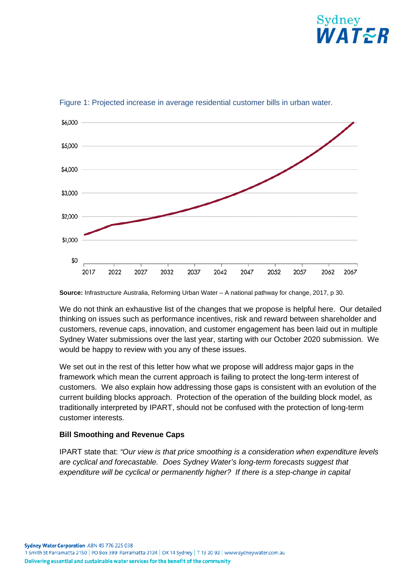



Figure 1: Projected increase in average residential customer bills in urban water.

**Source:** Infrastructure Australia, Reforming Urban Water – A national pathway for change, 2017, p 30.

We do not think an exhaustive list of the changes that we propose is helpful here. Our detailed thinking on issues such as performance incentives, risk and reward between shareholder and customers, revenue caps, innovation, and customer engagement has been laid out in multiple Sydney Water submissions over the last year, starting with our October 2020 submission. We would be happy to review with you any of these issues.

We set out in the rest of this letter how what we propose will address major gaps in the framework which mean the current approach is failing to protect the long-term interest of customers. We also explain how addressing those gaps is consistent with an evolution of the current building blocks approach. Protection of the operation of the building block model, as traditionally interpreted by IPART, should not be confused with the protection of long-term customer interests.

# **Bill Smoothing and Revenue Caps**

IPART state that: *"Our view is that price smoothing is a consideration when expenditure levels are cyclical and forecastable. Does Sydney Water's long-term forecasts suggest that expenditure will be cyclical or permanently higher? If there is a step-change in capital*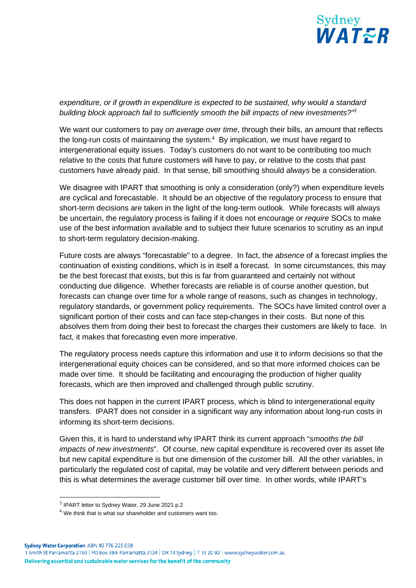

## *expenditure, or if growth in expenditure is expected to be sustained, why would a standard building block approach fail to sufficiently smooth the bill impacts of new investments?"<sup>3</sup>*

We want our customers to pay *on average over time*, through their bills, an amount that reflects the long-run costs of maintaining the system. $4$  By implication, we must have regard to intergenerational equity issues. Today's customers do not want to be contributing too much relative to the costs that future customers will have to pay, or relative to the costs that past customers have already paid. In that sense, bill smoothing should *always* be a consideration.

We disagree with IPART that smoothing is only a consideration (only?) when expenditure levels are cyclical and forecastable. It should be an objective of the regulatory process to ensure that short-term decisions are taken in the light of the long-term outlook. While forecasts will always be uncertain, the regulatory process is failing if it does not encourage or *require* SOCs to make use of the best information available and to subject their future scenarios to scrutiny as an input to short-term regulatory decision-making.

Future costs are always "forecastable" to a degree. In fact, the *absence* of a forecast implies the continuation of existing conditions, which is in itself a forecast. In some circumstances, this may be the best forecast that exists, but this is far from guaranteed and certainly not without conducting due diligence. Whether forecasts are reliable is of course another question, but forecasts can change over time for a whole range of reasons, such as changes in technology, regulatory standards, or government policy requirements. The SOCs have limited control over a significant portion of their costs and can face step-changes in their costs. But none of this absolves them from doing their best to forecast the charges their customers are likely to face. In fact, it makes that forecasting even more imperative.

The regulatory process needs capture this information and use it to inform decisions so that the intergenerational equity choices can be considered, and so that more informed choices can be made over time. It should be facilitating and encouraging the production of higher quality forecasts, which are then improved and challenged through public scrutiny.

This does not happen in the current IPART process, which is blind to intergenerational equity transfers. IPART does not consider in a significant way any information about long-run costs in informing its short-term decisions.

Given this, it is hard to understand why IPART think its current approach "*smooths the bill impacts of new investments*". Of course, new capital expenditure is recovered over its asset life but new capital expenditure is but one dimension of the customer bill. All the other variables, in particularly the regulated cost of capital, may be volatile and very different between periods and this is what determines the average customer bill over time. In other words, while IPART's

 $3$  IPART letter to Sydney Water, 29 June 2021 p.2

 $4$  We think that is what our shareholder and customers want too.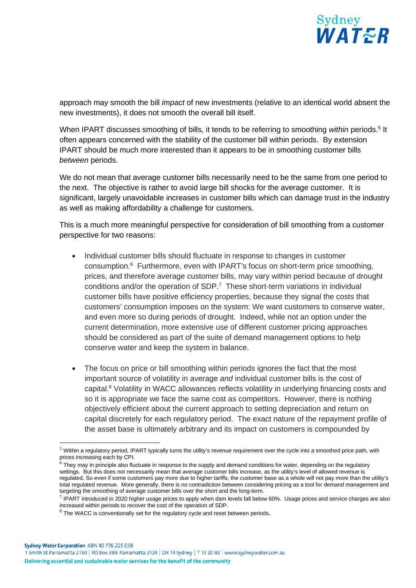

approach may smooth the bill *impact* of new investments (relative to an identical world absent the new investments), it does not smooth the overall bill itself.

When IPART discusses smoothing of bills, it tends to be referring to smoothing within periods.<sup>5</sup> It often appears concerned with the stability of the customer bill within periods. By extension IPART should be much more interested than it appears to be in smoothing customer bills *between* periods.

We do not mean that average customer bills necessarily need to be the same from one period to the next. The objective is rather to avoid large bill shocks for the average customer. It is significant, largely unavoidable increases in customer bills which can damage trust in the industry as well as making affordability a challenge for customers.

This is a much more meaningful perspective for consideration of bill smoothing from a customer perspective for two reasons:

- Individual customer bills should fluctuate in response to changes in customer consumption.<sup>6</sup> Furthermore, even with IPART's focus on short-term price smoothing, prices, and therefore average customer bills, may vary within period because of drought conditions and/or the operation of SDP.<sup>7</sup> These short-term variations in individual customer bills have positive efficiency properties, because they signal the costs that customers' consumption imposes on the system: We want customers to conserve water, and even more so during periods of drought. Indeed, while not an option under the current determination, more extensive use of different customer pricing approaches should be considered as part of the suite of demand management options to help conserve water and keep the system in balance.
- The focus on price or bill smoothing within periods ignores the fact that the most important source of volatility in average *and* individual customer bills is the cost of capital.<sup>8</sup> Volatility in WACC allowances reflects volatility in underlying financing costs and so it is appropriate we face the same cost as competitors. However, there is nothing objectively efficient about the current approach to setting depreciation and return on capital discretely for each regulatory period. The exact nature of the repayment profile of the asset base is ultimately arbitrary and its impact on customers is compounded by

<sup>&</sup>lt;sup>5</sup> Within a regulatory period, IPART typically turns the utility's revenue requirement over the cycle into a smoothed price path, with prices increasing each by CPI.

 $^6$  They may in principle also fluctuate in response to the supply and demand conditions for water, depending on the regulatory settings. But this does not necessarily mean that *average* customer bills increase, as the utility's level of allowed revenue is regulated. So even if some customers pay more due to higher tariffs, the customer base as a whole will not pay more than the utility's total regulated revenue. More generally, there is no contradiction between considering pricing as a tool for demand management and targeting the smoothing of average customer bills over the short and the long-term.

 $^7$  IPART introduced in 2020 higher usage prices to apply when dam levels fall below 60%. Usage prices and service charges are also increased within periods to recover the cost of the operation of SDP.

 $8$  The WACC is conventionally set for the regulatory cycle and reset between periods.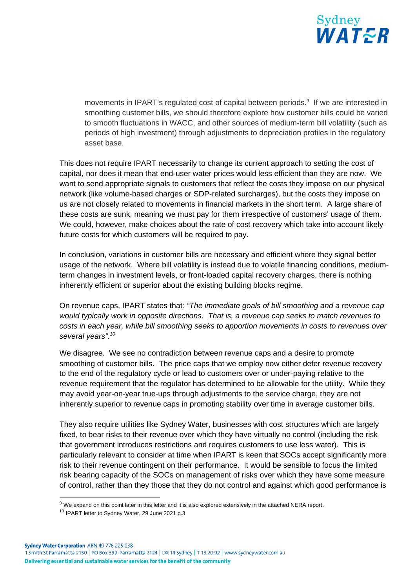

movements in IPART's regulated cost of capital between periods.<sup>9</sup> If we are interested in smoothing customer bills, we should therefore explore how customer bills could be varied to smooth fluctuations in WACC, and other sources of medium-term bill volatility (such as periods of high investment) through adjustments to depreciation profiles in the regulatory asset base.

This does not require IPART necessarily to change its current approach to setting the cost of capital, nor does it mean that end-user water prices would less efficient than they are now. We want to send appropriate signals to customers that reflect the costs they impose on our physical network (like volume-based charges or SDP-related surcharges), but the costs they impose on us are not closely related to movements in financial markets in the short term. A large share of these costs are sunk, meaning we must pay for them irrespective of customers' usage of them. We could, however, make choices about the rate of cost recovery which take into account likely future costs for which customers will be required to pay.

In conclusion, variations in customer bills are necessary and efficient where they signal better usage of the network. Where bill volatility is instead due to volatile financing conditions, mediumterm changes in investment levels, or front-loaded capital recovery charges, there is nothing inherently efficient or superior about the existing building blocks regime.

On revenue caps, IPART states that*: "The immediate goals of bill smoothing and a revenue cap would typically work in opposite directions. That is, a revenue cap seeks to match revenues to costs in each year, while bill smoothing seeks to apportion movements in costs to revenues over several years".<sup>10</sup>*

We disagree. We see no contradiction between revenue caps and a desire to promote smoothing of customer bills. The price caps that we employ now either defer revenue recovery to the end of the regulatory cycle or lead to customers over or under-paying relative to the revenue requirement that the regulator has determined to be allowable for the utility. While they may avoid year-on-year true-ups through adjustments to the service charge, they are not inherently superior to revenue caps in promoting stability over time in average customer bills.

They also require utilities like Sydney Water, businesses with cost structures which are largely fixed, to bear risks to their revenue over which they have virtually no control (including the risk that government introduces restrictions and requires customers to use less water). This is particularly relevant to consider at time when IPART is keen that SOCs accept significantly more risk to their revenue contingent on their performance. It would be sensible to focus the limited risk bearing capacity of the SOCs on management of risks over which they have some measure of control, rather than they those that they do not control and against which good performance is

 $9$  We expand on this point later in this letter and it is also explored extensively in the attached NERA report.

<sup>&</sup>lt;sup>10</sup> IPART letter to Sydney Water, 29 June 2021 p.3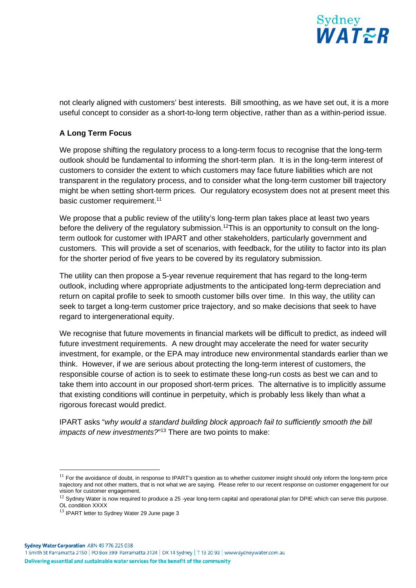

not clearly aligned with customers' best interests. Bill smoothing, as we have set out, it is a more useful concept to consider as a short-to-long term objective, rather than as a within-period issue.

## **A Long Term Focus**

We propose shifting the regulatory process to a long-term focus to recognise that the long-term outlook should be fundamental to informing the short-term plan. It is in the long-term interest of customers to consider the extent to which customers may face future liabilities which are not transparent in the regulatory process, and to consider what the long-term customer bill trajectory might be when setting short-term prices. Our regulatory ecosystem does not at present meet this basic customer requirement.<sup>11</sup>

We propose that a public review of the utility's long-term plan takes place at least two years before the delivery of the regulatory submission.<sup>12</sup>This is an opportunity to consult on the longterm outlook for customer with IPART and other stakeholders, particularly government and customers. This will provide a set of scenarios, with feedback, for the utility to factor into its plan for the shorter period of five years to be covered by its regulatory submission.

The utility can then propose a 5-year revenue requirement that has regard to the long-term outlook, including where appropriate adjustments to the anticipated long-term depreciation and return on capital profile to seek to smooth customer bills over time. In this way, the utility can seek to target a long-term customer price trajectory, and so make decisions that seek to have regard to intergenerational equity.

We recognise that future movements in financial markets will be difficult to predict, as indeed will future investment requirements. A new drought may accelerate the need for water security investment, for example, or the EPA may introduce new environmental standards earlier than we think. However, if we are serious about protecting the long-term interest of customers, the responsible course of action is to seek to estimate these long-run costs as best we can and to take them into account in our proposed short-term prices. The alternative is to implicitly assume that existing conditions will continue in perpetuity, which is probably less likely than what a rigorous forecast would predict.

IPART asks "*why would a standard building block approach fail to sufficiently smooth the bill impacts of new investments?*" <sup>13</sup> There are two points to make:

 $11$  For the avoidance of doubt, in response to IPART's question as to whether customer insight should only inform the long-term price trajectory and not other matters, that is not what we are saying. Please refer to our recent response on customer engagement for our vision for customer engagement.

 $12$  Sydney Water is now required to produce a 25-year long-term capital and operational plan for DPIE which can serve this purpose. OL condition XXXX

<sup>&</sup>lt;sup>13</sup> IPART letter to Sydney Water 29 June page 3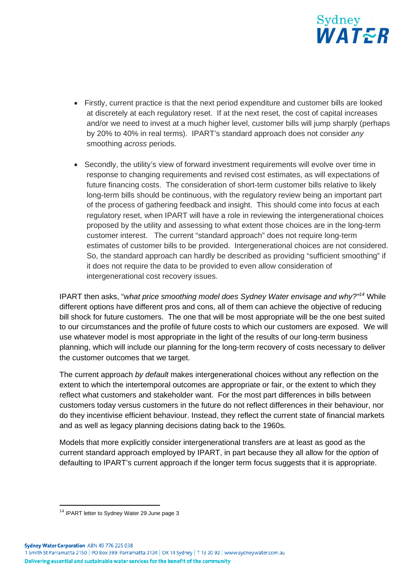

- Firstly, current practice is that the next period expenditure and customer bills are looked at discretely at each regulatory reset. If at the next reset, the cost of capital increases and/or we need to invest at a much higher level, customer bills will jump sharply (perhaps by 20% to 40% in real terms). IPART's standard approach does not consider *any* smoothing *across* periods.
- Secondly, the utility's view of forward investment requirements will evolve over time in response to changing requirements and revised cost estimates, as will expectations of future financing costs. The consideration of short-term customer bills relative to likely long-term bills should be continuous, with the regulatory review being an important part of the process of gathering feedback and insight. This should come into focus at each regulatory reset, when IPART will have a role in reviewing the intergenerational choices proposed by the utility and assessing to what extent those choices are in the long-term customer interest. The current "standard approach" does not require long-term estimates of customer bills to be provided. Intergenerational choices are not considered. So, the standard approach can hardly be described as providing "sufficient smoothing" if it does not require the data to be provided to even allow consideration of intergenerational cost recovery issues.

IPART then asks, "*what price smoothing model does Sydney Water envisage and why?"<sup>14</sup>* While different options have different pros and cons, all of them can achieve the objective of reducing bill shock for future customers. The one that will be most appropriate will be the one best suited to our circumstances and the profile of future costs to which our customers are exposed. We will use whatever model is most appropriate in the light of the results of our long-term business planning, which will include our planning for the long-term recovery of costs necessary to deliver the customer outcomes that we target.

The current approach *by default* makes intergenerational choices without any reflection on the extent to which the intertemporal outcomes are appropriate or fair, or the extent to which they reflect what customers and stakeholder want. For the most part differences in bills between customers today versus customers in the future do not reflect differences in their behaviour, nor do they incentivise efficient behaviour. Instead, they reflect the current state of financial markets and as well as legacy planning decisions dating back to the 1960s.

Models that more explicitly consider intergenerational transfers are at least as good as the current standard approach employed by IPART, in part because they all allow for the *option* of defaulting to IPART's current approach if the longer term focus suggests that it is appropriate.

Sydney Water Corporation ABN 49 776 225 038

1 Smith St Parramatta 2150 | PO Box 399 Parramatta 2124 | DX 14 Sydney | T 13 20 92 | www.sydneywater.com.au Delivering essential and sustainable water services for the benefit of the community

<sup>&</sup>lt;sup>14</sup> IPART letter to Sydney Water 29 June page 3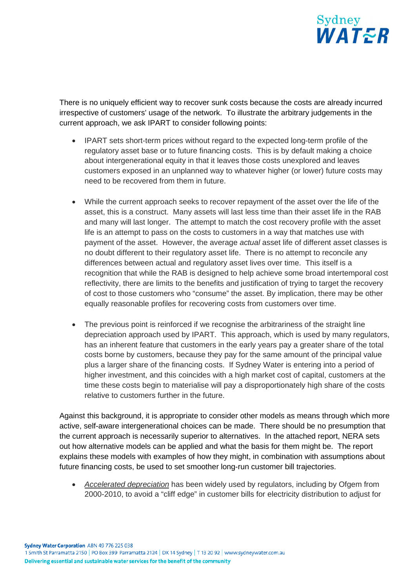

There is no uniquely efficient way to recover sunk costs because the costs are already incurred irrespective of customers' usage of the network. To illustrate the arbitrary judgements in the current approach, we ask IPART to consider following points:

- IPART sets short-term prices without regard to the expected long-term profile of the regulatory asset base or to future financing costs. This is by default making a choice about intergenerational equity in that it leaves those costs unexplored and leaves customers exposed in an unplanned way to whatever higher (or lower) future costs may need to be recovered from them in future.
- While the current approach seeks to recover repayment of the asset over the life of the asset, this is a construct. Many assets will last less time than their asset life in the RAB and many will last longer. The attempt to match the cost recovery profile with the asset life is an attempt to pass on the costs to customers in a way that matches use with payment of the asset. However, the average *actual* asset life of different asset classes is no doubt different to their regulatory asset life. There is no attempt to reconcile any differences between actual and regulatory asset lives over time. This itself is a recognition that while the RAB is designed to help achieve some broad intertemporal cost reflectivity, there are limits to the benefits and justification of trying to target the recovery of cost to those customers who "consume" the asset. By implication, there may be other equally reasonable profiles for recovering costs from customers over time.
- The previous point is reinforced if we recognise the arbitrariness of the straight line depreciation approach used by IPART. This approach, which is used by many regulators, has an inherent feature that customers in the early years pay a greater share of the total costs borne by customers, because they pay for the same amount of the principal value plus a larger share of the financing costs. If Sydney Water is entering into a period of higher investment, and this coincides with a high market cost of capital, customers at the time these costs begin to materialise will pay a disproportionately high share of the costs relative to customers further in the future.

Against this background, it is appropriate to consider other models as means through which more active, self-aware intergenerational choices can be made. There should be no presumption that the current approach is necessarily superior to alternatives. In the attached report, NERA sets out how alternative models can be applied and what the basis for them might be. The report explains these models with examples of how they might, in combination with assumptions about future financing costs, be used to set smoother long-run customer bill trajectories.

 *Accelerated depreciation* has been widely used by regulators, including by Ofgem from 2000-2010, to avoid a "cliff edge" in customer bills for electricity distribution to adjust for